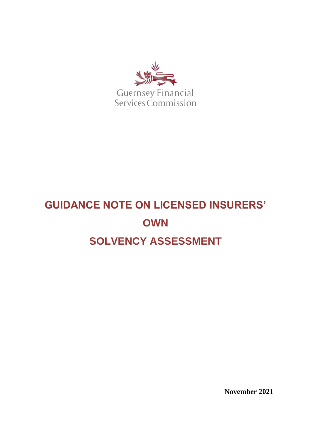

# **GUIDANCE NOTE ON LICENSED INSURERS' OWN SOLVENCY ASSESSMENT**

**November 2021**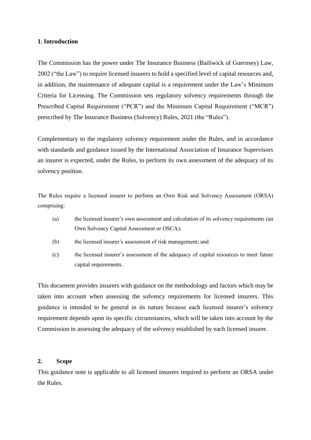#### **1. Introduction**

The Commission has the power under The Insurance Business (Bailiwick of Guernsey) Law, 2002 ("the Law") to require licensed insurers to hold a specified level of capital resources and, in addition, the maintenance of adequate capital is a requirement under the Law's Minimum Criteria for Licensing. The Commission sets regulatory solvency requirements through the Prescribed Capital Requirement ("PCR") and the Minimum Capital Requirement ("MCR") prescribed by The Insurance Business (Solvency) Rules, 2021 (the "Rules").

Complementary to the regulatory solvency requirement under the Rules, and in accordance with standards and guidance issued by the International Association of Insurance Supervisors an insurer is expected, under the Rules, to perform its own assessment of the adequacy of its solvency position.

The Rules require a licensed insurer to perform an Own Risk and Solvency Assessment (ORSA) comprising:

- (a) the licensed insurer's own assessment and calculation of its solvency requirements (an Own Solvency Capital Assessment or OSCA);
- (b) the licensed insurer's assessment of risk management; and
- (c) the licensed insurer's assessment of the adequacy of capital resources to meet future capital requirements.

This document provides insurers with guidance on the methodology and factors which may be taken into account when assessing the solvency requirements for licensed insurers. This guidance is intended to be general in its nature because each licensed insurer's solvency requirement depends upon its specific circumstances, which will be taken into account by the Commission in assessing the adequacy of the solvency established by each licensed insurer.

#### **2. Scope**

This guidance note is applicable to all licensed insurers required to perform an ORSA under the Rules.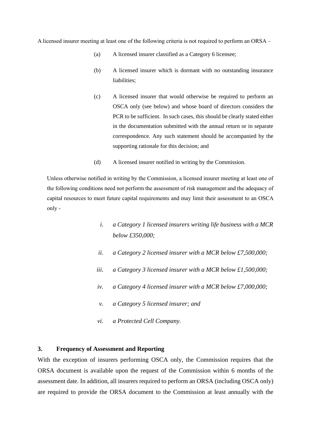A licensed insurer meeting at least one of the following criteria is not required to perform an ORSA –

- (a) A licensed insurer classified as a Category 6 licensee;
- (b) A licensed insurer which is dormant with no outstanding insurance liabilities;
- (c) A licensed insurer that would otherwise be required to perform an OSCA only (see below) and whose board of directors considers the PCR to be sufficient. In such cases, this should be clearly stated either in the documentation submitted with the annual return or in separate correspondence. Any such statement should be accompanied by the supporting rationale for this decision; and
- (d) A licensed insurer notified in writing by the Commission.

Unless otherwise notified in writing by the Commission, a licensed insurer meeting at least one of the following conditions need not perform the assessment of risk management and the adequacy of capital resources to meet future capital requirements and may limit their assessment to an OSCA only -

- *i. a Category 1 licensed insurers writing life business with a MCR below £350,000;*
- *ii. a Category 2 licensed insurer with a MCR below £7,500,000;*
- *iii. a Category 3 licensed insurer with a MCR below £1,500,000;*
- *iv. a Category 4 licensed insurer with a MCR below £7,000,000;*
- *v. a Category 5 licensed insurer; and*
- *vi. a Protected Cell Company.*

## **3. Frequency of Assessment and Reporting**

With the exception of insurers performing OSCA only, the Commission requires that the ORSA document is available upon the request of the Commission within 6 months of the assessment date. In addition, all insurers required to perform an ORSA (including OSCA only) are required to provide the ORSA document to the Commission at least annually with the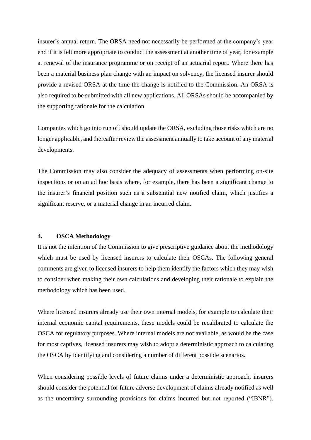insurer's annual return. The ORSA need not necessarily be performed at the company's year end if it is felt more appropriate to conduct the assessment at another time of year; for example at renewal of the insurance programme or on receipt of an actuarial report. Where there has been a material business plan change with an impact on solvency, the licensed insurer should provide a revised ORSA at the time the change is notified to the Commission. An ORSA is also required to be submitted with all new applications. All ORSAs should be accompanied by the supporting rationale for the calculation.

Companies which go into run off should update the ORSA, excluding those risks which are no longer applicable, and thereafter review the assessment annually to take account of any material developments.

The Commission may also consider the adequacy of assessments when performing on-site inspections or on an ad hoc basis where, for example, there has been a significant change to the insurer's financial position such as a substantial new notified claim, which justifies a significant reserve, or a material change in an incurred claim.

#### **4. OSCA Methodology**

It is not the intention of the Commission to give prescriptive guidance about the methodology which must be used by licensed insurers to calculate their OSCAs. The following general comments are given to licensed insurers to help them identify the factors which they may wish to consider when making their own calculations and developing their rationale to explain the methodology which has been used.

Where licensed insurers already use their own internal models, for example to calculate their internal economic capital requirements, these models could be recalibrated to calculate the OSCA for regulatory purposes. Where internal models are not available, as would be the case for most captives, licensed insurers may wish to adopt a deterministic approach to calculating the OSCA by identifying and considering a number of different possible scenarios.

When considering possible levels of future claims under a deterministic approach, insurers should consider the potential for future adverse development of claims already notified as well as the uncertainty surrounding provisions for claims incurred but not reported ("IBNR").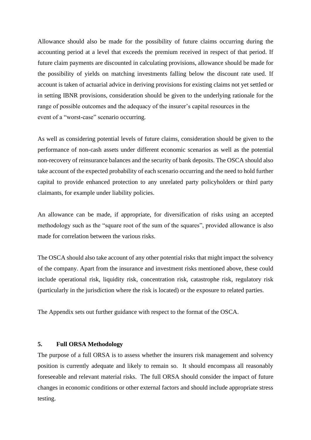Allowance should also be made for the possibility of future claims occurring during the accounting period at a level that exceeds the premium received in respect of that period. If future claim payments are discounted in calculating provisions, allowance should be made for the possibility of yields on matching investments falling below the discount rate used. If account is taken of actuarial advice in deriving provisions for existing claims not yet settled or in setting IBNR provisions, consideration should be given to the underlying rationale for the range of possible outcomes and the adequacy of the insurer's capital resources in the event of a "worst-case" scenario occurring.

As well as considering potential levels of future claims, consideration should be given to the performance of non-cash assets under different economic scenarios as well as the potential non-recovery of reinsurance balances and the security of bank deposits. The OSCA should also take account of the expected probability of each scenario occurring and the need to hold further capital to provide enhanced protection to any unrelated party policyholders or third party claimants, for example under liability policies.

An allowance can be made, if appropriate, for diversification of risks using an accepted methodology such as the "square root of the sum of the squares", provided allowance is also made for correlation between the various risks.

The OSCA should also take account of any other potential risks that might impact the solvency of the company. Apart from the insurance and investment risks mentioned above, these could include operational risk, liquidity risk, concentration risk, catastrophe risk, regulatory risk (particularly in the jurisdiction where the risk is located) or the exposure to related parties.

The Appendix sets out further guidance with respect to the format of the OSCA.

#### **5. Full ORSA Methodology**

The purpose of a full ORSA is to assess whether the insurers risk management and solvency position is currently adequate and likely to remain so. It should encompass all reasonably foreseeable and relevant material risks. The full ORSA should consider the impact of future changes in economic conditions or other external factors and should include appropriate stress testing.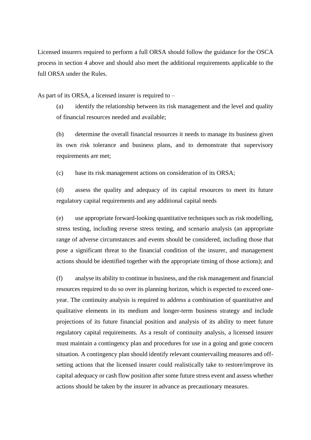Licensed insurers required to perform a full ORSA should follow the guidance for the OSCA process in section 4 above and should also meet the additional requirements applicable to the full ORSA under the Rules.

As part of its ORSA, a licensed insurer is required to –

(a) identify the relationship between its risk management and the level and quality of financial resources needed and available;

(b) determine the overall financial resources it needs to manage its business given its own risk tolerance and business plans, and to demonstrate that supervisory requirements are met;

(c) base its risk management actions on consideration of its ORSA;

(d) assess the quality and adequacy of its capital resources to meet its future regulatory capital requirements and any additional capital needs

(e) use appropriate forward-looking quantitative techniques such as risk modelling, stress testing, including reverse stress testing, and scenario analysis (an appropriate range of adverse circumstances and events should be considered, including those that pose a significant threat to the financial condition of the insurer, and management actions should be identified together with the appropriate timing of those actions); and

(f) analyse its ability to continue in business, and the risk management and financial resources required to do so over its planning horizon, which is expected to exceed oneyear. The continuity analysis is required to address a combination of quantitative and qualitative elements in its medium and longer-term business strategy and include projections of its future financial position and analysis of its ability to meet future regulatory capital requirements. As a result of continuity analysis, a licensed insurer must maintain a contingency plan and procedures for use in a going and gone concern situation. A contingency plan should identify relevant countervailing measures and offsetting actions that the licensed insurer could realistically take to restore/improve its capital adequacy or cash flow position after some future stress event and assess whether actions should be taken by the insurer in advance as precautionary measures.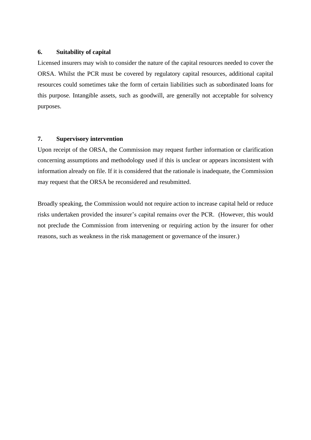## **6. Suitability of capital**

Licensed insurers may wish to consider the nature of the capital resources needed to cover the ORSA. Whilst the PCR must be covered by regulatory capital resources, additional capital resources could sometimes take the form of certain liabilities such as subordinated loans for this purpose. Intangible assets, such as goodwill, are generally not acceptable for solvency purposes.

# **7. Supervisory intervention**

Upon receipt of the ORSA, the Commission may request further information or clarification concerning assumptions and methodology used if this is unclear or appears inconsistent with information already on file. If it is considered that the rationale is inadequate, the Commission may request that the ORSA be reconsidered and resubmitted.

Broadly speaking, the Commission would not require action to increase capital held or reduce risks undertaken provided the insurer's capital remains over the PCR. (However, this would not preclude the Commission from intervening or requiring action by the insurer for other reasons, such as weakness in the risk management or governance of the insurer.)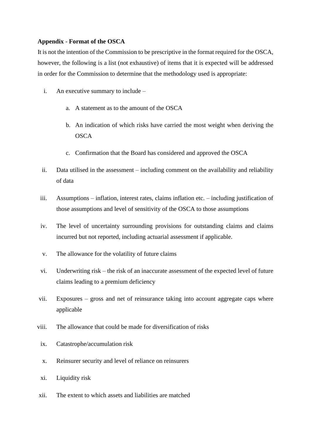# **Appendix** - **Format of the OSCA**

It is not the intention of the Commission to be prescriptive in the format required for the OSCA, however, the following is a list (not exhaustive) of items that it is expected will be addressed in order for the Commission to determine that the methodology used is appropriate:

- i. An executive summary to include
	- a. A statement as to the amount of the OSCA
	- b. An indication of which risks have carried the most weight when deriving the **OSCA**
	- c. Confirmation that the Board has considered and approved the OSCA
- ii. Data utilised in the assessment including comment on the availability and reliability of data
- iii. Assumptions inflation, interest rates, claims inflation etc. including justification of those assumptions and level of sensitivity of the OSCA to those assumptions
- iv. The level of uncertainty surrounding provisions for outstanding claims and claims incurred but not reported, including actuarial assessment if applicable.
- v. The allowance for the volatility of future claims
- vi. Underwriting risk the risk of an inaccurate assessment of the expected level of future claims leading to a premium deficiency
- vii. Exposures gross and net of reinsurance taking into account aggregate caps where applicable
- viii. The allowance that could be made for diversification of risks
- ix. Catastrophe/accumulation risk
- x. Reinsurer security and level of reliance on reinsurers
- xi. Liquidity risk
- xii. The extent to which assets and liabilities are matched